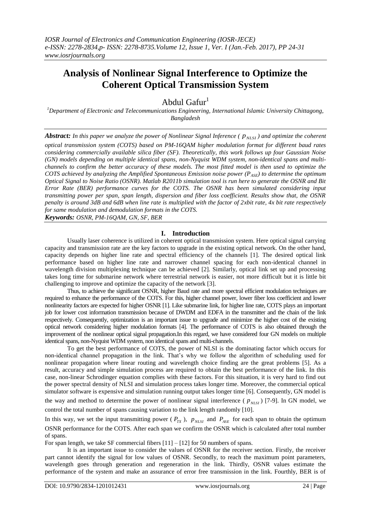# **Analysis of Nonlinear Signal Interference to Optimize the Coherent Optical Transmission System**

Abdul Gafur $^1$ 

*<sup>1</sup>Department of Electronic and Telecommunications Engineering, International Islamic University Chittagong, Bangladesh*

*Abstract:* In this paper we analyze the power of Nonlinear Signal Inference ( $p_{NLSI}$ ) and optimize the coherent

*optical transmission system (COTS) based on PM-16QAM higher modulation format for different baud rates considering commercially available silica fiber (SF). Theoretically, this work follows up four Gaussian Noise (GN) models depending on multiple identical spans, non-Nyquist WDM system, non-identical spans and multichannels to confirm the better accuracy of these models. The most fitted model is then used to optimize the COTS achieved by analyzing the Amplified Spontaneous Emission noise power (PASE) to determine the optimum Optical Signal to Noise Ratio (OSNR). Matlab R2011b simulation tool is run here to generate the OSNR and Bit Error Rate (BER) performance curves for the COTS. The OSNR has been simulated considering input transmitting power per span, span length, dispersion and fiber loss coefficient. Results show that, the OSNR penalty is around 3dB and 6dB when line rate is multiplied with the factor of 2xbit rate, 4x bit rate respectively for same modulation and demodulation formats in the COTS.*

*Keywords: OSNR, PM-16QAM, GN, SF, BER*

# **I. Introduction**

Usually laser coherence is utilized in coherent optical transmission system. Here optical signal carrying capacity and transmission rate are the key factors to upgrade in the existing optical network. On the other hand, capacity depends on higher line rate and spectral efficiency of the channels [1]. The desired optical link performance based on higher line rate and narrower channel spacing for each non-identical channel in wavelength division multiplexing technique can be achieved [2]. Similarly, optical link set up and processing takes long time for submarine network where terrestrial network is easier, not more difficult but it is little bit challenging to improve and optimize the capacity of the network [3].

Thus, to achieve the significant OSNR, higher Baud rate and more spectral efficient modulation techniques are required to enhance the performance of the COTS. For this, higher channel power, lower fiber loss coefficient and lower nonlinearity factors are expected for higher OSNR [1]. Like submarine link, for higher line rate, COTS plays an important job for lower cost information transmission because of DWDM and EDFA in the transmitter and the chain of the link respectively. Consequently, optimization is an important issue to upgrade and minimize the higher cost of the existing optical network considering higher modulation formats [4]. The performance of COTS is also obtained through the improvement of the nonlinear optical signal propagation.In this regard, we have considered four GN models on multiple identical spans, non-Nyquist WDM system, non identical spans and multi-channels.

To get the best performance of COTS, the power of NLSI is the dominating factor which occurs for non-identical channel propagation in the link. That's why we follow the algorithm of scheduling used for nonlinear propagation where linear routing and wavelength choice finding are the great problems [5]. As a result, accuracy and simple simulation process are required to obtain the best performance of the link. In this case, non-linear Schrodinger equation complies with these factors. For this situation, it is very hard to find out the power spectral density of NLSI and simulation process takes longer time. Moreover, the commercial optical simulator software is expensive and simulation running output takes longer time [6]. Consequently, GN model is the way and method to determine the power of nonlinear signal interference ( $p_{NLSI}$ ) [7-9]. In GN model, we control the total number of spans causing variation to the link length randomly [10].

In this way, we set the input transmitting power ( $P_{TX}$ ),  $p_{NLSI}$  and  $P_{ASE}$  for each span to obtain the optimum OSNR performance for the COTS. After each span we confirm the OSNR which is calculated after total number of spans.

For span length, we take SF commercial fibers [11] – [12] for 50 numbers of spans.

It is an important issue to consider the values of OSNR for the receiver section. Firstly, the receiver part cannot identify the signal for low values of OSNR. Secondly, to reach the maximum point parameters, wavelength goes through generation and regeneration in the link. Thirdly, OSNR values estimate the performance of the system and make an assurance of error free transmission in the link. Fourthly, BER is of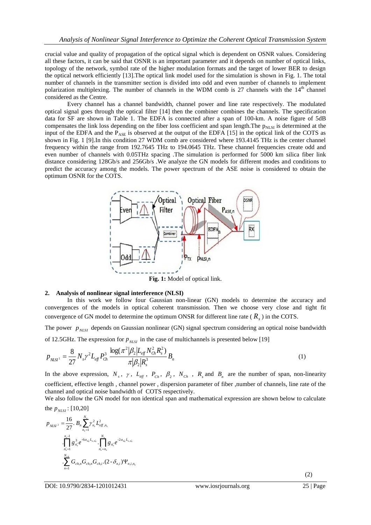crucial value and quality of propagation of the optical signal which is dependent on OSNR values. Considering all these factors, it can be said that OSNR is an important parameter and it depends on number of optical links, topology of the network, symbol rate of the higher modulation formats and the target of lower BER to design the optical network efficiently [13].The optical link model used for the simulation is shown in Fig. 1. The total number of channels in the transmitter section is divided into odd and even number of channels to implement polarization multiplexing. The number of channels in the WDM comb is 27 channels with the  $14<sup>th</sup>$  channel considered as the Centre.

Every channel has a channel bandwidth, channel power and line rate respectively. The modulated optical signal goes through the optical filter [14] then the combiner combines the channels. The specification data for SF are shown in Table 1. The EDFA is connected after a span of 100-km. A noise figure of 5dB compensates the link loss depending on the fiber loss coefficient and span length. The  $p<sub>NLSI</sub>$  is determined at the input of the EDFA and the  $P_{\text{ASE}}$  is observed at the output of the EDFA [15] in the optical link of the COTS as shown in Fig. 1 [9].In this condition 27 WDM comb are considered where 193.4145 THz is the center channel frequency within the range from 192.7645 THz to 194.0645 THz. These channel frequencies create odd and even number of channels with 0.05THz spacing .The simulation is performed for 5000 km silica fiber link distance considering 128Gb/s and 256Gb/s .We analyze the GN models for different modes and conditions to predict the accuracy among the models. The power spectrum of the ASE noise is considered to obtain the optimum OSNR for the COTS.



**Fig. 1:** Model of optical link.

### **2. Analysis of nonlinear signal interference (NLSI)**

In this work we follow four Gaussian non-linear (GN) models to determine the accuracy and convergences of the models in optical coherent transmission. Then we choose very close and tight fit convergence of GN model to determine the optimum ONSR for different line rate ( *Rs* ) in the COTS.

The power  $p_{NLSI}$  depends on Gaussian nonlinear (GN) signal spectrum considering an optical noise bandwidth of 12.5GHz. The expression for  $p_{NLSI}$  in the case of multichannels is presented below [19]

$$
p_{NLSI} = \frac{8}{27} N_s \gamma^2 L_{eff} P_{Ch}^3 \frac{\log(\pi^2 | \beta_2 | L_{eff} N_{Ch}^2 R_s^2)}{\pi |\beta_2| R_s^3} B_n \tag{1}
$$

In the above expression,  $N_s$ ,  $\gamma$ ,  $L_{eff}$ ,  $P_{Ch}$ ,  $\beta_2$ ,  $N_{Ch}$ ,  $R_s$  and  $B_n$  are the number of span, non-linearity coefficient, effective length , channel power , dispersion parameter of fiber ,number of channels, line rate of the channel and optical noise bandwidth of COTS respectively.

We also follow the GN model for non identical span and mathematical expression are shown below to calculate the  $p_{NLSI}$ : [10,20]

$$
p_{NLSI^2} = \frac{16}{27} \cdot B_n \sum_{n_s=1}^{N_s} \gamma_{n_s}^2 L_{efn,n_s}^2
$$

$$
\cdot \prod_{n_s'=1}^{n_s-1} g_{n_s'}^3 e^{-6\alpha_{n_s'}L_{s,n_s'}} \cdot \prod_{n_s'=n_s}^{N_s} g_{n_s'} e^{-2\alpha_{n_s'}L_{s,n_s'}}
$$

$$
\cdot \sum_{n=1}^{N_{ch}} G_{ch,n} G_{ch,n} G_{ch,i} \cdot (2 - \delta_{n,i}) \Psi_{n,i,n_s}
$$

 $(2)$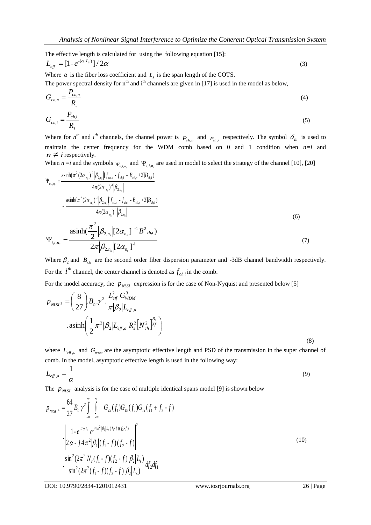The effective length is calculated for using the following equation [15]:

$$
L_{\text{eff}} = [1 - e^{-(\alpha L_s)}]/2\alpha
$$
\n<sup>(3)</sup>

Where  $\alpha$  is the fiber loss coefficient and  $L<sub>s</sub>$  is the span length of the COTS. The power spectral density for  $n<sup>th</sup>$  and i<sup>th</sup> channels are given in [17] is used in the model as below,

$$
G_{ch,n} = \frac{P_{ch,n}}{R_s} \tag{4}
$$

$$
G_{ch,i} = \frac{P_{ch,i}}{R_s} \tag{5}
$$

Where for  $n^{th}$  and  $i^{th}$  channels, the channel power is  $P_{ch,n}$  and  $P_{ch,i}$  respectively. The symbol  $\delta_{ni}$  is used to maintain the center frequency for the WDM comb based on 0 and 1 condition when *n=i* and  $n \neq i$  respectively.

When  $n = i$  and the symbols  $\Psi_{n,i,n_s}$  and  $\Psi_{i,i,n_s}$  are used in model to select the strategy of the channel [10], [20]

$$
\Psi_{n,i,n_{s}} = \frac{\operatorname{asinh}(\pi^{2}(2\alpha_{n_{s}})^{-1}|\beta_{2,n_{s}}|[f_{ch,n} - f_{ch,i} + B_{ch,n}/2]B_{ch,i})}{4\pi(2\alpha_{n_{s}})^{-1}|\beta_{2,n_{s}}|}\n-\frac{\operatorname{asinh}(\pi^{2}(2\alpha_{n_{s}})^{-1}|\beta_{2,n_{s}}|[f_{ch,n} - f_{ch,i} - B_{ch,n}/2]B_{ch,i})}{4\pi(2\alpha_{n_{s}})^{-1}|\beta_{2,n_{s}}|}\n\Psi_{i,i,n_{s}} = \frac{\operatorname{asinh}(\frac{\pi^{2}}{2}|\beta_{2,n_{s}}|[2\alpha_{n_{s}}]^{-1}B^{2}_{ch,i})}{2\pi|\beta_{2,n_{s}}|[2\alpha_{n_{s}}]^{-1}}\n\tag{7}
$$

Where  $\beta_2$  and  $B_{ch}$  are the second order fiber dispersion parameter and -3dB channel bandwidth respectively. For the  $i^{th}$  channel, the center channel is denoted as  $f_{ch,i}$  in the comb.

For the model accuracy, the  $p_{NLSI}$  expression is for the case of Non-Nyquist and presented below [5]

$$
p_{\text{NLSI}^3} = \left(\frac{8}{27}\right) B_n . \gamma^2 . \frac{L_{\text{eff}}^2 G_{\text{WDM}}^3}{\pi |\beta_2| L_{\text{eff},a}} \n\n. asinh \left(\frac{1}{2} \pi^2 |\beta_2| L_{\text{eff},a} R_s^2 \left[ N_{\text{ch}}^2 \right]_{\text{A}}^{R_s} \right)
$$
\n(8)

where  $L_{eff,a}$  and  $G_{WDM}$  are the asymptotic effective length and PSD of the transmission in the super channel of comb. In the model, asymptotic effective length is used in the following way:

$$
L_{\text{eff},a} = \frac{1}{\alpha} \tag{9}
$$

The  $p_{NLSI}$  analysis is for the case of multiple identical spans model [9] is shown below

$$
p_{\text{NLSI}^4} = \frac{64}{27} B_n \gamma^2 \int_{-\infty}^{\infty} \int_{-\infty}^{\infty} G_{Tx}(f_1) G_{Tx}(f_2) G_{Tx}(f_1 + f_2 - f)
$$
  

$$
\cdot \left| \frac{1 - e^{-2\alpha L_s} e^{j4\pi^2 |\beta_2| L_s(f_1 - f)(f_2 - f)}}{2\alpha - j4\pi^2 |\beta_2| (f_1 - f)(f_2 - f)|} \right|^2
$$
  

$$
\cdot \frac{\sin^2(2\pi^2 N_s(f_1 - f)(f_2 - f)|\beta_2|L_s)}{\sin^2(2\pi^2 (f_1 - f)(f_2 - f)|\beta_2|L_s)} df_2 df_1
$$
 (10)

DOI: 10.9790/2834-1201012431 www.iosrjournals.org 26 | Page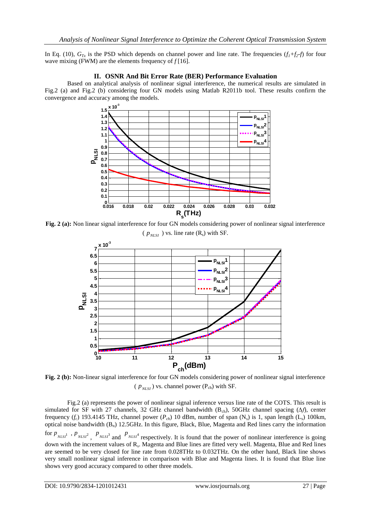In Eq. (10),  $G_T$  is the PSD which depends on channel power and line rate. The frequencies  $(f_1+f_2-f)$  for four wave mixing (FWM) are the elements frequency of *f* [16].

## **II. OSNR And Bit Error Rate (BER) Performance Evaluation**

Based on analytical analysis of nonlinear signal interference, the numerical results are simulated in Fig.2 (a) and Fig.2 (b) considering four GN models using Matlab R2011b tool. These results confirm the convergence and accuracy among the models.



**Fig. 2 (a):** Non linear signal interference for four GN models considering power of nonlinear signal interference  $(p_{NLSI})$  vs. line rate  $(R_s)$  with SF.



**Fig. 2 (b):** Non-linear signal interference for four GN models considering power of nonlinear signal interference  $(p_{NLSI})$  vs. channel power ( $P_{ch}$ ) with SF.

Fig.2 (a) represents the power of nonlinear signal inference versus line rate of the COTS. This result is simulated for SF with 27 channels, 32 GHz channel bandwidth (Bch), 50GHz channel spacing (*∆f*), center frequency  $(f_c)$  193.4145 THz, channel power  $(P_{ch})$  10 dBm, number of span  $(N_s)$  is 1, span length  $(L_s)$  100km, optical noise bandwidth  $(B_n)$  12.5GHz. In this figure, Black, Blue, Magenta and Red lines carry the information for  $p_{NLSI^1}$ ,  $p_{NLSI^2}$ ,  $p_{NLSI^3}$  and  $p_{NLSI^4}$  respectively. It is found that the power of nonlinear interference is going down with the increment values of R<sub>s</sub>. Magenta and Blue lines are fitted very well. Magenta, Blue and Red lines are seemed to be very closed for line rate from 0.028THz to 0.032THz. On the other hand, Black line shows very small nonlinear signal inference in comparison with Blue and Magenta lines. It is found that Blue line shows very good accuracy compared to other three models.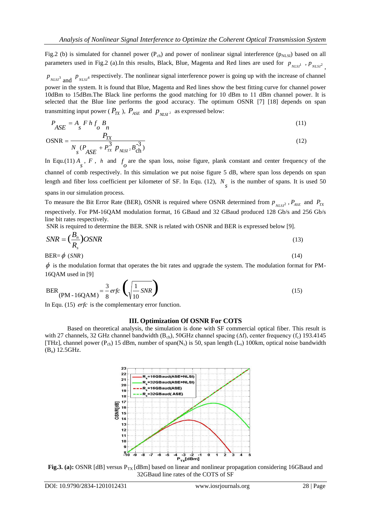Fig.2 (b) is simulated for channel power  $(P_{ch})$  and power of nonlinear signal interference ( $p_{NLSI}$ ) based on all parameters used in Fig.2 (a).In this results, Black, Blue, Magenta and Red lines are used for  $p_{NLSI^1}$ ,  $p_{NLSI^2}$ ,

 $p_{NLSI}$ <sup>3</sup> and  $p_{NLSI}$ <sup>4</sup> respectively. The nonlinear signal interference power is going up with the increase of channel power in the system. It is found that Blue, Magenta and Red lines show the best fitting curve for channel power 10dBm to 15dBm.The Black line performs the good matching for 10 dBm to 11 dBm channel power. It is selected that the Blue line performs the good accuracy. The optimum OSNR [7] [18] depends on span transmitting input power ( $P_{TX}$ ),  $P_{ASE}$  and  $p_{NLSI^2}$  as expressed below:

$$
P_{\text{ASE}} = A_{\text{s}} F h f_{\text{o}} B_{n} \tag{11}
$$

$$
OSNR = \frac{P_{TX}}{N_s (P_{ASE} + P_{TX}^3 P_{NLSI} \cdot B_{ch}^{-3})}
$$
(12)

In Equ.(11)  $A_s$ ,  $F$ ,  $h$  and  $f_o$  are the span loss, noise figure, plank constant and center frequency of the channel of comb respectively. In this simulation we put noise figure 5 dB, where span loss depends on span length and fiber loss coefficient per kilometer of SF. In Equ.  $(12)$ ,  $N<sub>s</sub>$  is the number of spans. It is used 50 spans in our simulation process.

# To measure the Bit Error Rate (BER), OSNR is required where OSNR determined from  $p_{_{NLSI}^2}$ ,  $P_{_{ASE}}$  and  $P_{_{TX}}$ respectively. For PM-16QAM modulation format, 16 GBaud and 32 GBaud produced 128 Gb/s and 256 Gb/s line bit rates respectively.

SNR is required to determine the BER. SNR is related with OSNR and BER is expressed below [9].

$$
SNR = \left(\frac{B_n}{R_s}\right)OSNR\tag{13}
$$

 $BER = \phi$  (SNR)  $\phi$  (SNR) (14)

 $\phi$  is the modulation format that operates the bit rates and upgrade the system. The modulation format for PM-16QAM used in [9]

$$
BER_{(PM - 16QAM)} = \frac{3}{8} erfc \left(\sqrt{\frac{1}{10} SNR}\right)
$$
\n(15)

In Equ. (15) *erfc* is the complementary error function.

### **III. Optimization Of OSNR For COTS**

Based on theoretical analysis, the simulation is done with SF commercial optical fiber. This result is with 27 channels, 32 GHz channel bandwidth (B<sub>ch</sub>), 50GHz channel spacing ( $\Delta f$ ), center frequency (f<sub>c</sub>) 193.4145 [THz], channel power ( $P_{ch}$ ) 15 dBm, number of span( $N_s$ ) is 50, span length ( $L_s$ ) 100km, optical noise bandwidth (Bn) 12.5GHz.



**Fig.3. (a):** OSNR [dB] versus P<sub>TX</sub> [dBm] based on linear and nonlinear propagation considering 16GBaud and 32GBaud line rates of the COTS of SF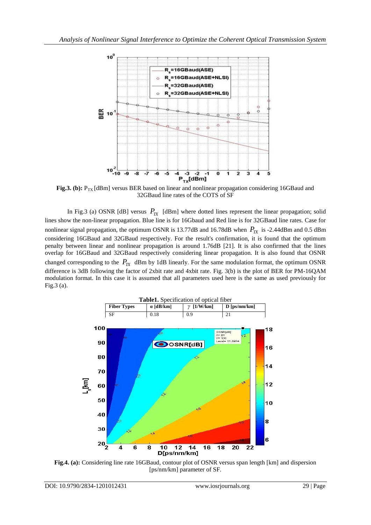

**Fig.3. (b):**  $P_{TX}$  [dBm] versus BER based on linear and nonlinear propagation considering 16GBaud and 32GBaud line rates of the COTS of SF

In Fig.3 (a) OSNR [dB] versus  $P_{TX}$  [dBm] where dotted lines represent the linear propagation; solid lines show the non-linear propagation. Blue line is for 16Gbaud and Red line is for 32GBaud line rates. Case for nonlinear signal propagation, the optimum OSNR is 13.77dB and 16.78dB when  $P_{TX}$  is -2.44dBm and 0.5 dBm considering 16GBaud and 32GBaud respectively. For the result's confirmation, it is found that the optimum penalty between linear and nonlinear propagation is around 1.76dB [21]. It is also confirmed that the lines overlap for 16GBaud and 32GBaud respectively considering linear propagation. It is also found that OSNR changed corresponding to the  $P_{TX}$  dBm by 1dB linearly. For the same modulation format, the optimum OSNR difference is 3dB following the factor of 2xbit rate and 4xbit rate. Fig. 3(b) is the plot of BER for PM-16QAM modulation format. In this case it is assumed that all parameters used here is the same as used previously for Fig.3 (a).



**Fig.4. (a):** Considering line rate 16GBaud, contour plot of OSNR versus span length [km] and dispersion [ps/nm/km] parameter of SF.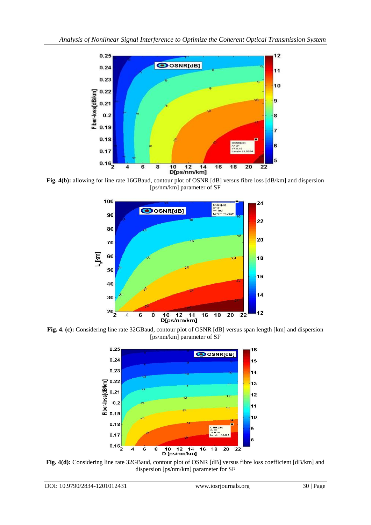

**Fig. 4(b):** allowing for line rate 16GBaud, contour plot of OSNR [dB] versus fibre loss [dB/km] and dispersion [ps/nm/km] parameter of SF



**Fig. 4. (c):** Considering line rate 32GBaud, contour plot of OSNR [dB] versus span length [km] and dispersion [ps/nm/km] parameter of SF



**Fig. 4(d):** Considering line rate 32GBaud, contour plot of OSNR [dB] versus fibre loss coefficient [dB/km] and dispersion [ps/nm/km] parameter for SF